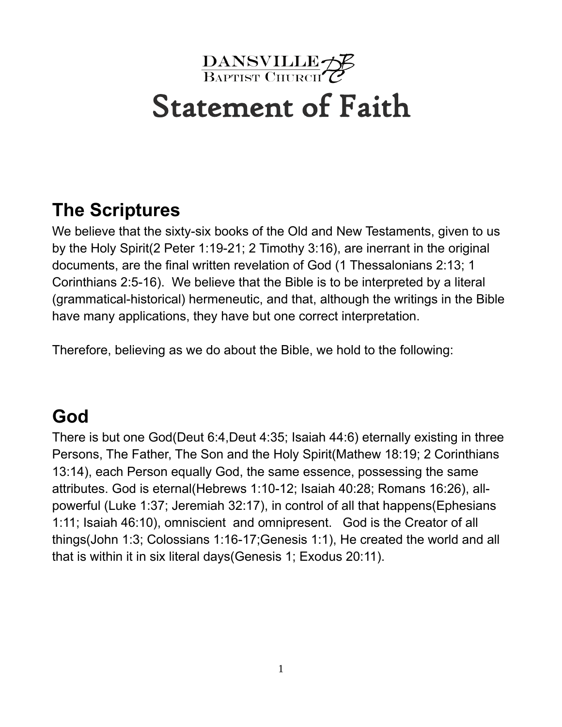

# Statement of Faith

#### **The Scriptures**

We believe that the sixty-six books of the Old and New Testaments, given to us by the Holy Spirit(2 Peter 1:19-21; 2 Timothy 3:16), are inerrant in the original documents, are the final written revelation of God (1 Thessalonians 2:13; 1 Corinthians 2:5-16). We believe that the Bible is to be interpreted by a literal (grammatical-historical) hermeneutic, and that, although the writings in the Bible have many applications, they have but one correct interpretation.

Therefore, believing as we do about the Bible, we hold to the following:

#### **God**

There is but one God(Deut 6:4,Deut 4:35; Isaiah 44:6) eternally existing in three Persons, The Father, The Son and the Holy Spirit(Mathew 18:19; 2 Corinthians 13:14), each Person equally God, the same essence, possessing the same attributes. God is eternal(Hebrews 1:10-12; Isaiah 40:28; Romans 16:26), allpowerful (Luke 1:37; Jeremiah 32:17), in control of all that happens(Ephesians 1:11; Isaiah 46:10), omniscient and omnipresent. God is the Creator of all things(John 1:3; Colossians 1:16-17;Genesis 1:1), He created the world and all that is within it in six literal days(Genesis 1; Exodus 20:11).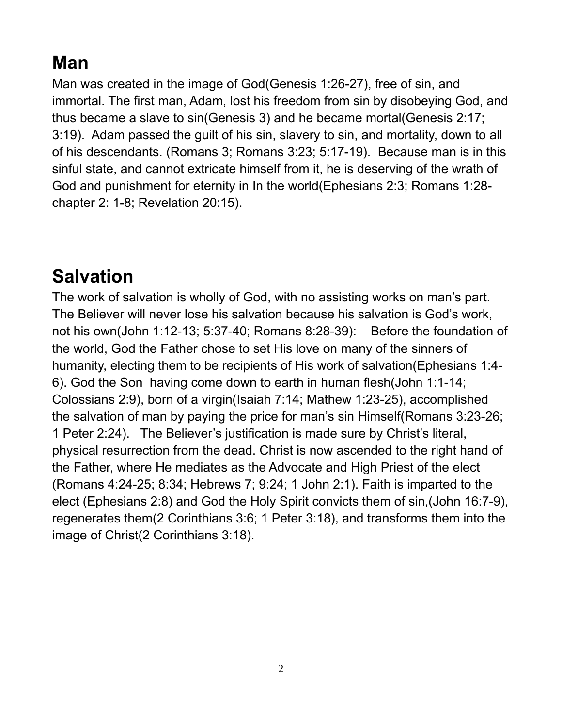# **Man**

Man was created in the image of God(Genesis 1:26-27), free of sin, and immortal. The first man, Adam, lost his freedom from sin by disobeying God, and thus became a slave to sin(Genesis 3) and he became mortal(Genesis 2:17; 3:19). Adam passed the guilt of his sin, slavery to sin, and mortality, down to all of his descendants. (Romans 3; Romans 3:23; 5:17-19). Because man is in this sinful state, and cannot extricate himself from it, he is deserving of the wrath of God and punishment for eternity in In the world(Ephesians 2:3; Romans 1:28 chapter 2: 1-8; Revelation 20:15).

#### **Salvation**

The work of salvation is wholly of God, with no assisting works on man's part. The Believer will never lose his salvation because his salvation is God's work, not his own(John 1:12-13; 5:37-40; Romans 8:28-39): Before the foundation of the world, God the Father chose to set His love on many of the sinners of humanity, electing them to be recipients of His work of salvation(Ephesians 1:4- 6). God the Son having come down to earth in human flesh(John 1:1-14; Colossians 2:9), born of a virgin(Isaiah 7:14; Mathew 1:23-25), accomplished the salvation of man by paying the price for man's sin Himself(Romans 3:23-26; 1 Peter 2:24). The Believer's justification is made sure by Christ's literal, physical resurrection from the dead. Christ is now ascended to the right hand of the Father, where He mediates as the Advocate and High Priest of the elect (Romans 4:24-25; 8:34; Hebrews 7; 9:24; 1 John 2:1). Faith is imparted to the elect (Ephesians 2:8) and God the Holy Spirit convicts them of sin,(John 16:7-9), regenerates them(2 Corinthians 3:6; 1 Peter 3:18), and transforms them into the image of Christ(2 Corinthians 3:18).